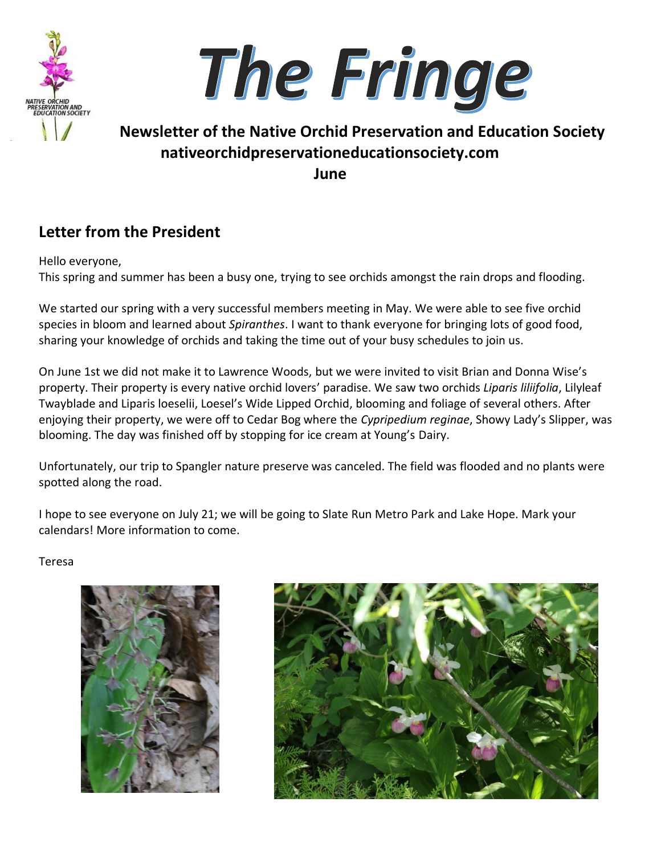



## **Newsletter of the Native Orchid Preservation and Education Society nativeorchidpreservationeducationsociety.com June**

## **Letter from the President**

Hello everyone,

This spring and summer has been a busy one, trying to see orchids amongst the rain drops and flooding.

We started our spring with a very successful members meeting in May. We were able to see five orchid species in bloom and learned about *Spiranthes*. I want to thank everyone for bringing lots of good food, sharing your knowledge of orchids and taking the time out of your busy schedules to join us.

On June 1st we did not make it to Lawrence Woods, but we were invited to visit Brian and Donna Wise's property. Their property is every native orchid lovers' paradise. We saw two orchids *Liparis liliifolia*, Lilyleaf Twayblade and Liparis loeselii, Loesel's Wide Lipped Orchid, blooming and foliage of several others. After enjoying their property, we were off to Cedar Bog where the *Cypripedium reginae*, Showy Lady's Slipper, was blooming. The day was finished off by stopping for ice cream at Young's Dairy.

Unfortunately, our trip to Spangler nature preserve was canceled. The field was flooded and no plants were spotted along the road.

I hope to see everyone on July 21; we will be going to Slate Run Metro Park and Lake Hope. Mark your calendars! More information to come.

Teresa



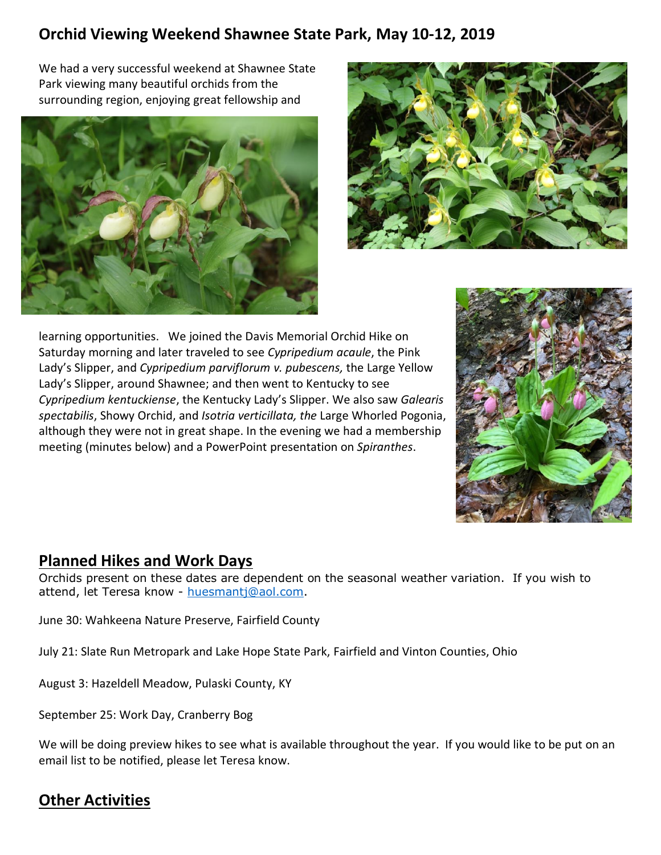## **Orchid Viewing Weekend Shawnee State Park, May 10-12, 2019**

We had a very successful weekend at Shawnee State Park viewing many beautiful orchids from the surrounding region, enjoying great fellowship and





learning opportunities. We joined the Davis Memorial Orchid Hike on Saturday morning and later traveled to see *Cypripedium acaule*, the Pink Lady's Slipper, and *Cypripedium parviflorum v. pubescens,* the Large Yellow Lady's Slipper, around Shawnee; and then went to Kentucky to see *Cypripedium kentuckiense*, the Kentucky Lady's Slipper. We also saw *Galearis spectabilis*, Showy Orchid, and *Isotria verticillata, the* Large Whorled Pogonia, although they were not in great shape. In the evening we had a membership meeting (minutes below) and a PowerPoint presentation on *Spiranthes*.



### **Planned Hikes and Work Days**

Orchids present on these dates are dependent on the seasonal weather variation. If you wish to attend, let Teresa know - [huesmantj@aol.com.](mailto:huesmantj@aol.com)

June 30: Wahkeena Nature Preserve, Fairfield County

July 21: Slate Run Metropark and Lake Hope State Park, Fairfield and Vinton Counties, Ohio

August 3: Hazeldell Meadow, Pulaski County, KY

September 25: Work Day, Cranberry Bog

We will be doing preview hikes to see what is available throughout the year. If you would like to be put on an email list to be notified, please let Teresa know.

## **Other Activities**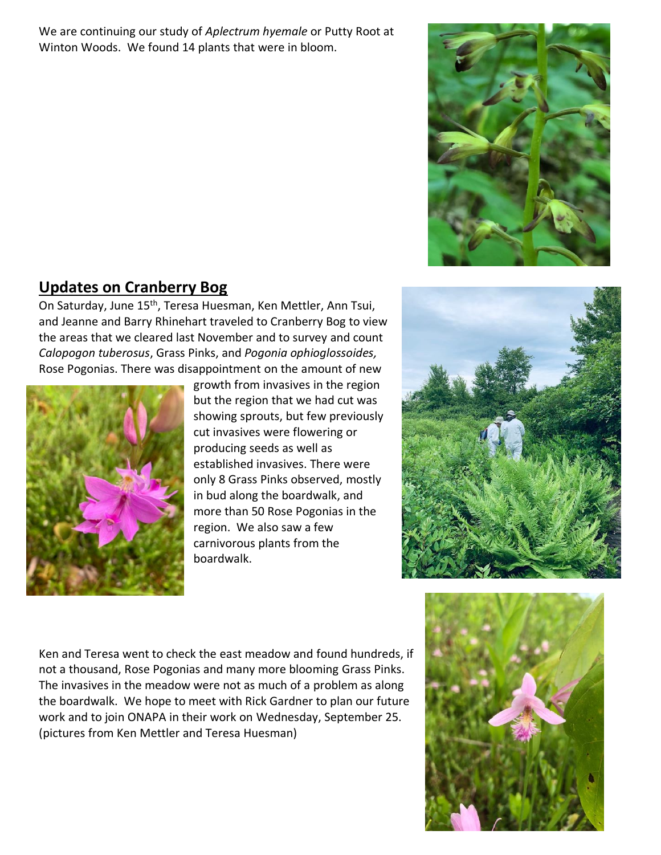We are continuing our study of *Aplectrum hyemale* or Putty Root at Winton Woods. We found 14 plants that were in bloom.



## **Updates on Cranberry Bog**

On Saturday, June 15<sup>th</sup>, Teresa Huesman, Ken Mettler, Ann Tsui, and Jeanne and Barry Rhinehart traveled to Cranberry Bog to view the areas that we cleared last November and to survey and count *Calopogon tuberosus*, Grass Pinks, and *Pogonia ophioglossoides,* Rose Pogonias. There was disappointment on the amount of new



growth from invasives in the region but the region that we had cut was showing sprouts, but few previously cut invasives were flowering or producing seeds as well as established invasives. There were only 8 Grass Pinks observed, mostly in bud along the boardwalk, and more than 50 Rose Pogonias in the region. We also saw a few carnivorous plants from the boardwalk.



Ken and Teresa went to check the east meadow and found hundreds, if not a thousand, Rose Pogonias and many more blooming Grass Pinks. The invasives in the meadow were not as much of a problem as along the boardwalk. We hope to meet with Rick Gardner to plan our future work and to join ONAPA in their work on Wednesday, September 25. (pictures from Ken Mettler and Teresa Huesman)

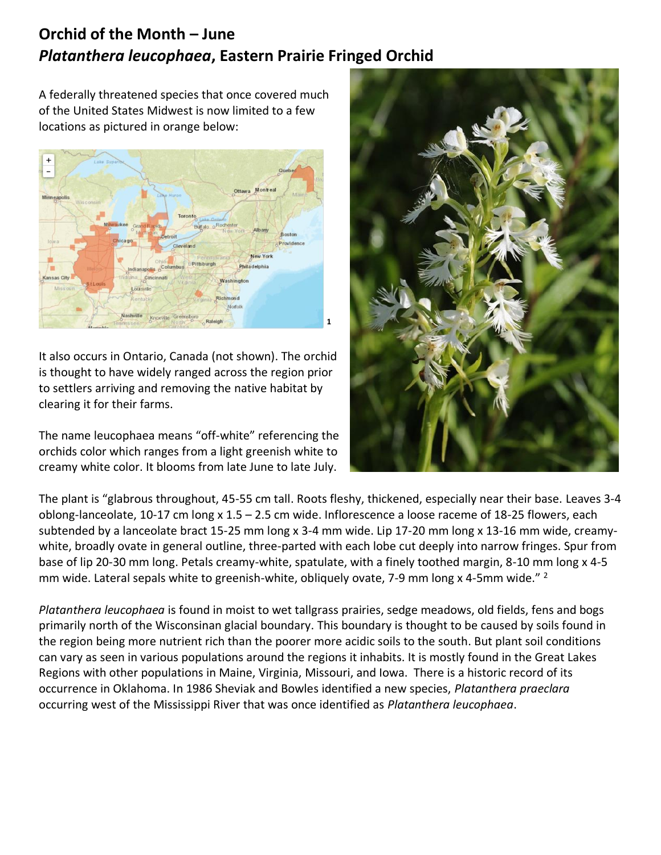## **Orchid of the Month – June** *Platanthera leucophaea***, Eastern Prairie Fringed Orchid**

A federally threatened species that once covered much of the United States Midwest is now limited to a few locations as pictured in orange below:



It also occurs in Ontario, Canada (not shown). The orchid is thought to have widely ranged across the region prior to settlers arriving and removing the native habitat by clearing it for their farms.

The name leucophaea means "off-white" referencing the orchids color which ranges from a light greenish white to creamy white color. It blooms from late June to late July.



The plant is "glabrous throughout, 45-55 cm tall. Roots fleshy, thickened, especially near their base. Leaves 3-4 oblong-lanceolate, 10-17 cm long x 1.5 – 2.5 cm wide. Inflorescence a loose raceme of 18-25 flowers, each subtended by a lanceolate bract 15-25 mm long x 3-4 mm wide. Lip 17-20 mm long x 13-16 mm wide, creamywhite, broadly ovate in general outline, three-parted with each lobe cut deeply into narrow fringes. Spur from base of lip 20-30 mm long. Petals creamy-white, spatulate, with a finely toothed margin, 8-10 mm long x 4-5 mm wide. Lateral sepals white to greenish-white, obliquely ovate, 7-9 mm long x 4-5mm wide." <sup>2</sup>

*Platanthera leucophaea* is found in moist to wet tallgrass prairies, sedge meadows, old fields, fens and bogs primarily north of the Wisconsinan glacial boundary. This boundary is thought to be caused by soils found in the region being more nutrient rich than the poorer more acidic soils to the south. But plant soil conditions can vary as seen in various populations around the regions it inhabits. It is mostly found in the Great Lakes Regions with other populations in Maine, Virginia, Missouri, and Iowa. There is a historic record of its occurrence in Oklahoma. In 1986 Sheviak and Bowles identified a new species, *Platanthera praeclara* occurring west of the Mississippi River that was once identified as *Platanthera leucophaea*.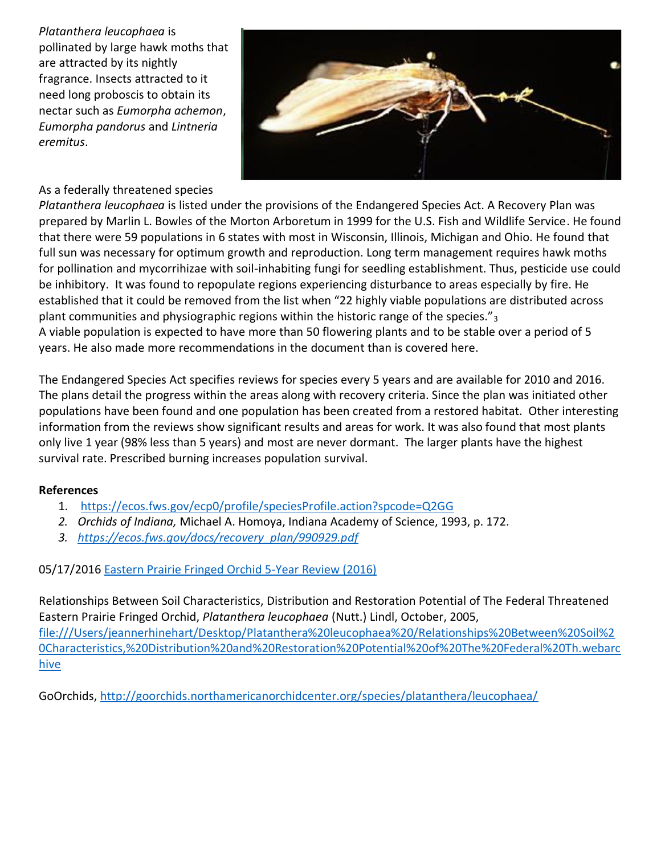*Platanthera leucophaea* is pollinated by large hawk moths that are attracted by its nightly fragrance. Insects attracted to it need long proboscis to obtain its nectar such as *Eumorpha achemon*, *Eumorpha pandorus* and *Lintneria eremitus*.



#### As a federally threatened species

*Platanthera leucophaea* is listed under the provisions of the Endangered Species Act. A Recovery Plan was prepared by Marlin L. Bowles of the Morton Arboretum in 1999 for the U.S. Fish and Wildlife Service. He found that there were 59 populations in 6 states with most in Wisconsin, Illinois, Michigan and Ohio. He found that full sun was necessary for optimum growth and reproduction. Long term management requires hawk moths for pollination and mycorrihizae with soil-inhabiting fungi for seedling establishment. Thus, pesticide use could be inhibitory. It was found to repopulate regions experiencing disturbance to areas especially by fire. He established that it could be removed from the list when "22 highly viable populations are distributed across plant communities and physiographic regions within the historic range of the species." $_3$ A viable population is expected to have more than 50 flowering plants and to be stable over a period of 5 years. He also made more recommendations in the document than is covered here.

The Endangered Species Act specifies reviews for species every 5 years and are available for 2010 and 2016. The plans detail the progress within the areas along with recovery criteria. Since the plan was initiated other populations have been found and one population has been created from a restored habitat. Other interesting information from the reviews show significant results and areas for work. It was also found that most plants only live 1 year (98% less than 5 years) and most are never dormant. The larger plants have the highest survival rate. Prescribed burning increases population survival.

#### **References**

- 1. <https://ecos.fws.gov/ecp0/profile/speciesProfile.action?spcode=Q2GG>
- *2. Orchids of Indiana,* Michael A. Homoya, Indiana Academy of Science, 1993, p. 172.
- *3. [https://ecos.fws.gov/docs/recovery\\_plan/990929.pdf](https://ecos.fws.gov/docs/recovery_plan/990929.pdf)*

#### 05/17/2016 Eastern Prairie Fringed Orchid 5-Year Review (2016)

Relationships Between Soil Characteristics, Distribution and Restoration Potential of The Federal Threatened Eastern Prairie Fringed Orchid, *Platanthera leucophaea* (Nutt.) Lindl, October, 2005, [file:///Users/jeannerhinehart/Desktop/Platanthera%20leucophaea%20/Relationships%20Between%20Soil%2](file:///C:/Users/jeannerhinehart/Desktop/Platanthera%20leucophaea%20/Relationships%20Between%20Soil%20Characteristics,%20Distribution%20and%20Restoration%20Potential%20of%20The%20Federal%20Th.webarchive) [0Characteristics,%20Distribution%20and%20Restoration%20Potential%20of%20The%20Federal%20Th.webarc](file:///C:/Users/jeannerhinehart/Desktop/Platanthera%20leucophaea%20/Relationships%20Between%20Soil%20Characteristics,%20Distribution%20and%20Restoration%20Potential%20of%20The%20Federal%20Th.webarchive) [hive](file:///C:/Users/jeannerhinehart/Desktop/Platanthera%20leucophaea%20/Relationships%20Between%20Soil%20Characteristics,%20Distribution%20and%20Restoration%20Potential%20of%20The%20Federal%20Th.webarchive)

GoOrchids, [http://goorchids.northamericanorchidcenter.org/species/platanthera/leucophaea/](http://goorchids.northamericanorchidcenter.org/species/platanthera/leucophaea/a)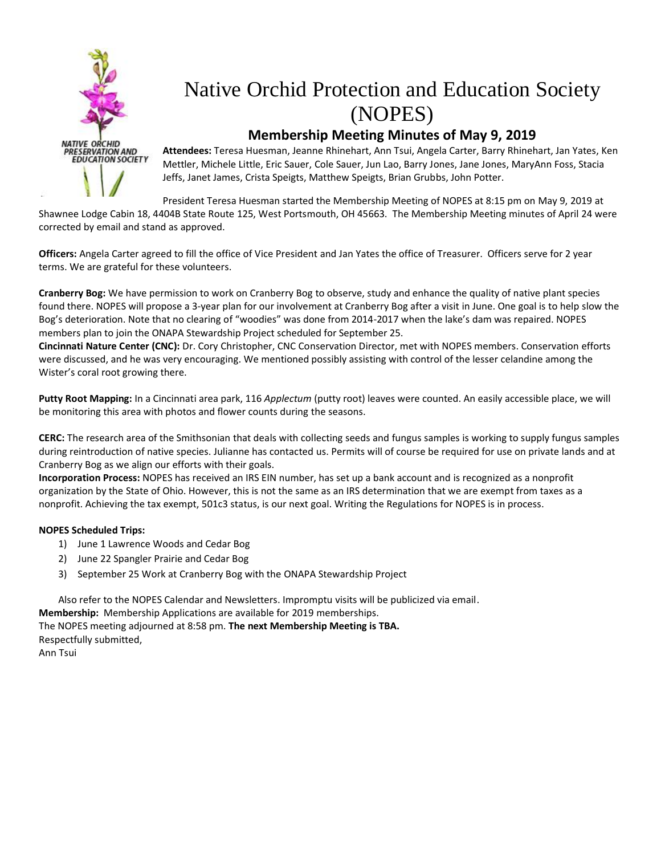

# Native Orchid Protection and Education Society (NOPES)

#### **Membership Meeting Minutes of May 9, 2019**

**Attendees:** Teresa Huesman, Jeanne Rhinehart, Ann Tsui, Angela Carter, Barry Rhinehart, Jan Yates, Ken Mettler, Michele Little, Eric Sauer, Cole Sauer, Jun Lao, Barry Jones, Jane Jones, MaryAnn Foss, Stacia Jeffs, Janet James, Crista Speigts, Matthew Speigts, Brian Grubbs, John Potter.

President Teresa Huesman started the Membership Meeting of NOPES at 8:15 pm on May 9, 2019 at Shawnee Lodge Cabin 18, 4404B State Route 125, West Portsmouth, OH 45663. The Membership Meeting minutes of April 24 were corrected by email and stand as approved.

**Officers:** Angela Carter agreed to fill the office of Vice President and Jan Yates the office of Treasurer. Officers serve for 2 year terms. We are grateful for these volunteers.

**Cranberry Bog:** We have permission to work on Cranberry Bog to observe, study and enhance the quality of native plant species found there. NOPES will propose a 3-year plan for our involvement at Cranberry Bog after a visit in June. One goal is to help slow the Bog's deterioration. Note that no clearing of "woodies" was done from 2014-2017 when the lake's dam was repaired. NOPES members plan to join the ONAPA Stewardship Project scheduled for September 25.

**Cincinnati Nature Center (CNC):** Dr. Cory Christopher, CNC Conservation Director, met with NOPES members. Conservation efforts were discussed, and he was very encouraging. We mentioned possibly assisting with control of the lesser celandine among the Wister's coral root growing there.

**Putty Root Mapping:** In a Cincinnati area park, 116 *Applectum* (putty root) leaves were counted. An easily accessible place, we will be monitoring this area with photos and flower counts during the seasons.

**CERC:** The research area of the Smithsonian that deals with collecting seeds and fungus samples is working to supply fungus samples during reintroduction of native species. Julianne has contacted us. Permits will of course be required for use on private lands and at Cranberry Bog as we align our efforts with their goals.

**Incorporation Process:** NOPES has received an IRS EIN number, has set up a bank account and is recognized as a nonprofit organization by the State of Ohio. However, this is not the same as an IRS determination that we are exempt from taxes as a nonprofit. Achieving the tax exempt, 501c3 status, is our next goal. Writing the Regulations for NOPES is in process.

#### **NOPES Scheduled Trips:**

- 1) June 1 Lawrence Woods and Cedar Bog
- 2) June 22 Spangler Prairie and Cedar Bog
- 3) September 25 Work at Cranberry Bog with the ONAPA Stewardship Project

Also refer to the NOPES Calendar and Newsletters. Impromptu visits will be publicized via email. **Membership:** Membership Applications are available for 2019 memberships.

The NOPES meeting adjourned at 8:58 pm. **The next Membership Meeting is TBA.** Respectfully submitted,

Ann Tsui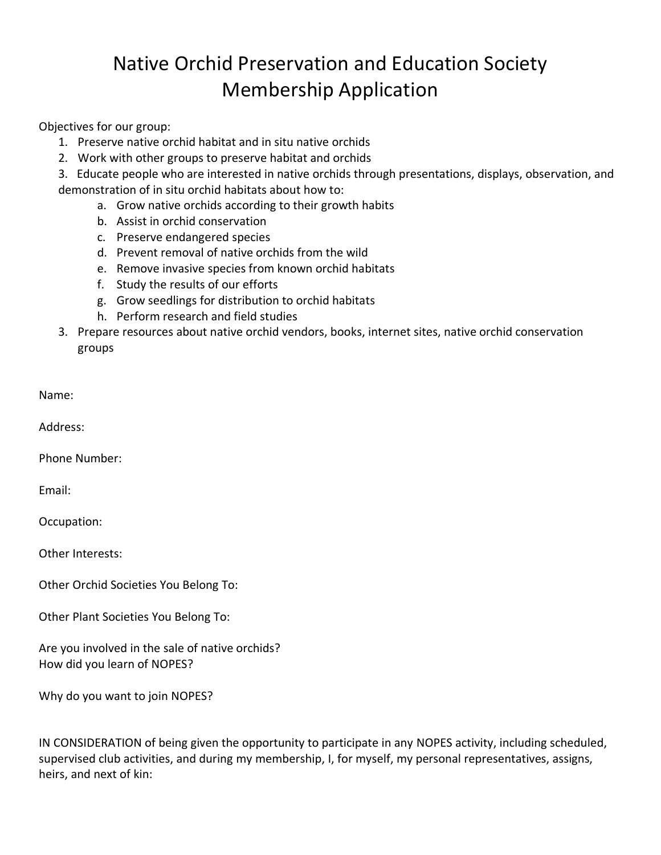## Native Orchid Preservation and Education Society Membership Application

Objectives for our group:

- 1. Preserve native orchid habitat and in situ native orchids
- 2. Work with other groups to preserve habitat and orchids
- 3. Educate people who are interested in native orchids through presentations, displays, observation, and demonstration of in situ orchid habitats about how to:
	- a. Grow native orchids according to their growth habits
	- b. Assist in orchid conservation
	- c. Preserve endangered species
	- d. Prevent removal of native orchids from the wild
	- e. Remove invasive species from known orchid habitats
	- f. Study the results of our efforts
	- g. Grow seedlings for distribution to orchid habitats
	- h. Perform research and field studies
- 3. Prepare resources about native orchid vendors, books, internet sites, native orchid conservation groups

| Name |  |  |
|------|--|--|
|      |  |  |

Address:

Phone Number:

Email:

Occupation:

Other Interests:

Other Orchid Societies You Belong To:

Other Plant Societies You Belong To:

Are you involved in the sale of native orchids? How did you learn of NOPES?

Why do you want to join NOPES?

IN CONSIDERATION of being given the opportunity to participate in any NOPES activity, including scheduled, supervised club activities, and during my membership, I, for myself, my personal representatives, assigns, heirs, and next of kin: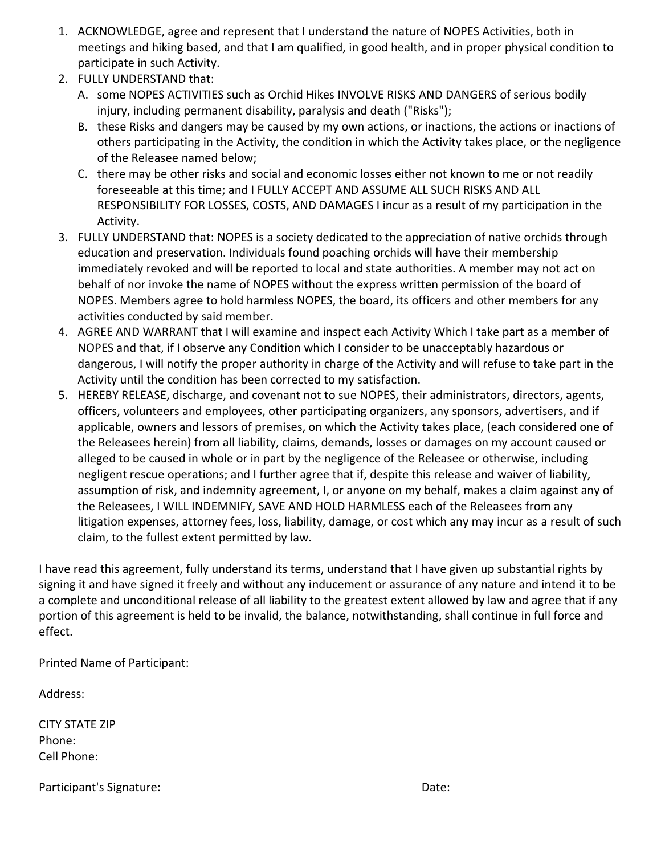- 1. ACKNOWLEDGE, agree and represent that I understand the nature of NOPES Activities, both in meetings and hiking based, and that I am qualified, in good health, and in proper physical condition to participate in such Activity.
- 2. FULLY UNDERSTAND that:
	- A. some NOPES ACTIVITIES such as Orchid Hikes INVOLVE RISKS AND DANGERS of serious bodily injury, including permanent disability, paralysis and death ("Risks");
	- B. these Risks and dangers may be caused by my own actions, or inactions, the actions or inactions of others participating in the Activity, the condition in which the Activity takes place, or the negligence of the Releasee named below;
	- C. there may be other risks and social and economic losses either not known to me or not readily foreseeable at this time; and I FULLY ACCEPT AND ASSUME ALL SUCH RISKS AND ALL RESPONSIBILITY FOR LOSSES, COSTS, AND DAMAGES I incur as a result of my participation in the Activity.
- 3. FULLY UNDERSTAND that: NOPES is a society dedicated to the appreciation of native orchids through education and preservation. Individuals found poaching orchids will have their membership immediately revoked and will be reported to local and state authorities. A member may not act on behalf of nor invoke the name of NOPES without the express written permission of the board of NOPES. Members agree to hold harmless NOPES, the board, its officers and other members for any activities conducted by said member.
- 4. AGREE AND WARRANT that I will examine and inspect each Activity Which I take part as a member of NOPES and that, if I observe any Condition which I consider to be unacceptably hazardous or dangerous, I will notify the proper authority in charge of the Activity and will refuse to take part in the Activity until the condition has been corrected to my satisfaction.
- 5. HEREBY RELEASE, discharge, and covenant not to sue NOPES, their administrators, directors, agents, officers, volunteers and employees, other participating organizers, any sponsors, advertisers, and if applicable, owners and lessors of premises, on which the Activity takes place, (each considered one of the Releasees herein) from all liability, claims, demands, losses or damages on my account caused or alleged to be caused in whole or in part by the negligence of the Releasee or otherwise, including negligent rescue operations; and I further agree that if, despite this release and waiver of liability, assumption of risk, and indemnity agreement, I, or anyone on my behalf, makes a claim against any of the Releasees, I WILL INDEMNIFY, SAVE AND HOLD HARMLESS each of the Releasees from any litigation expenses, attorney fees, loss, liability, damage, or cost which any may incur as a result of such claim, to the fullest extent permitted by law.

I have read this agreement, fully understand its terms, understand that I have given up substantial rights by signing it and have signed it freely and without any inducement or assurance of any nature and intend it to be a complete and unconditional release of all liability to the greatest extent allowed by law and agree that if any portion of this agreement is held to be invalid, the balance, notwithstanding, shall continue in full force and effect.

Printed Name of Participant:

Address:

CITY STATE ZIP Phone: Cell Phone:

Participant's Signature: Date: